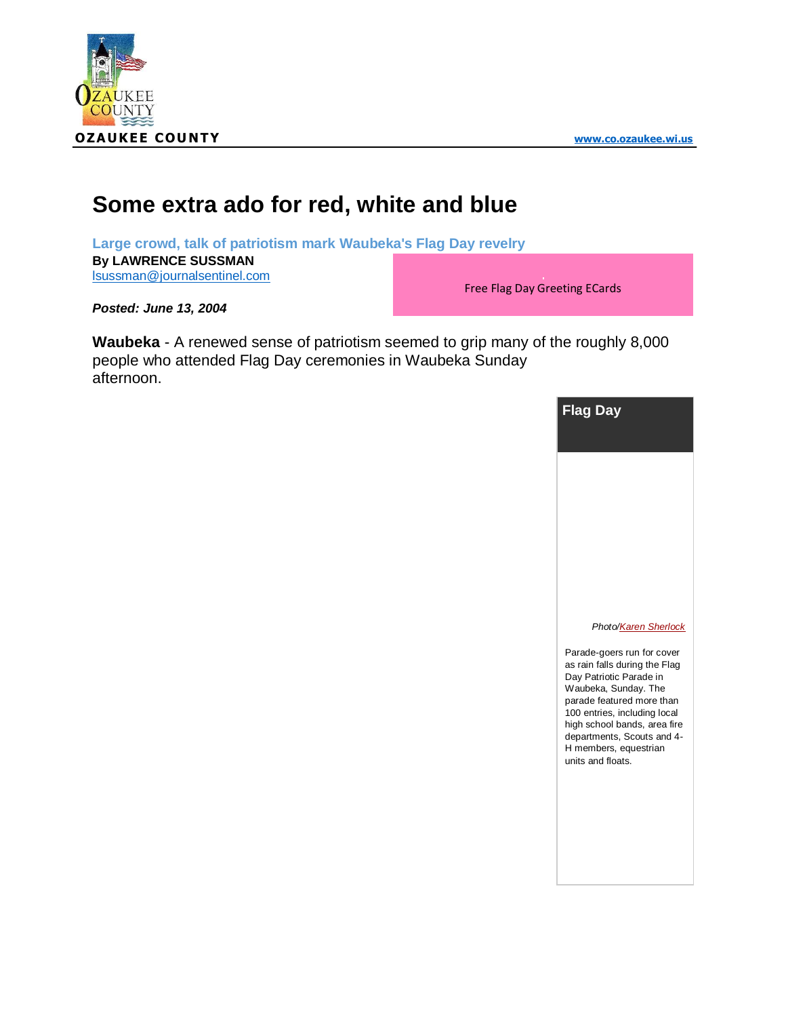



## **Some extra ado for red, white and blue**

**Large crowd, talk of patriotism mark Waubeka's Flag Day revelry By LAWRENCE SUSSMAN** [lsussman@journalsentinel.com](mailto:lsussman@journalsentinel.com)

Free Flag Day Greeting ECards

*Posted: June 13, 2004*

**Waubeka** - A renewed sense of patriotism seemed to grip many of the roughly 8,000 people who attended Flag Day ceremonies in Waubeka Sunday afternoon.



*Phot[o/Karen Sherlock](mailto:ksherlock@journalsentinel.com)*

Parade-goers run for cover as rain falls during the Flag Day Patriotic Parade in Waubeka, Sunday. The parade featured more than 100 entries, including local high school bands, area fire departments, Scouts and 4- H members, equestrian units and floats.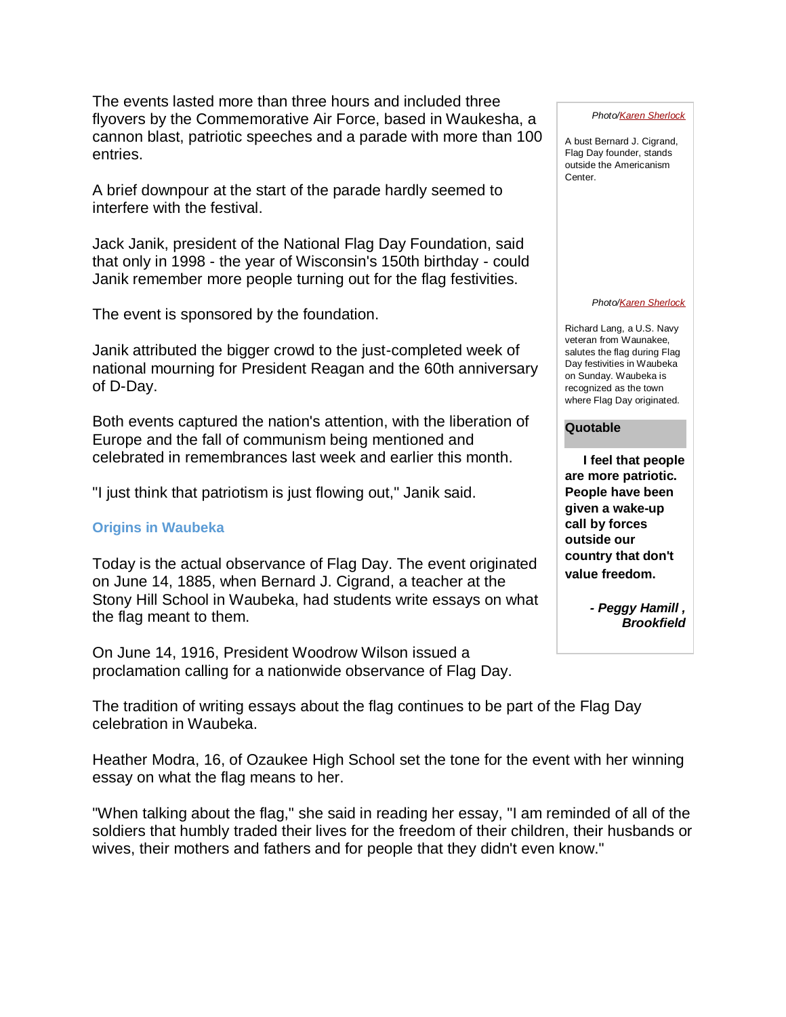The events lasted more than three hours and included three flyovers by the Commemorative Air Force, based in Waukesha, a cannon blast, patriotic speeches and a parade with more than 100 entries.

A brief downpour at the start of the parade hardly seemed to interfere with the festival.

Jack Janik, president of the National Flag Day Foundation, said that only in 1998 - the year of Wisconsin's 150th birthday - could Janik remember more people turning out for the flag festivities.

The event is sponsored by the foundation.

Janik attributed the bigger crowd to the just-completed week of national mourning for President Reagan and the 60th anniversary of D-Day.

Both events captured the nation's attention, with the liberation of Europe and the fall of communism being mentioned and celebrated in remembrances last week and earlier this month.

"I just think that patriotism is just flowing out," Janik said.

## **Origins in Waubeka**

Today is the actual observance of Flag Day. The event originated on June 14, 1885, when Bernard J. Cigrand, a teacher at the Stony Hill School in Waubeka, had students write essays on what the flag meant to them.

On June 14, 1916, President Woodrow Wilson issued a proclamation calling for a nationwide observance of Flag Day.

The tradition of writing essays about the flag continues to be part of the Flag Day celebration in Waubeka.

Heather Modra, 16, of Ozaukee High School set the tone for the event with her winning essay on what the flag means to her.

"When talking about the flag," she said in reading her essay, "I am reminded of all of the soldiers that humbly traded their lives for the freedom of their children, their husbands or wives, their mothers and fathers and for people that they didn't even know."

*Phot[o/Karen Sherlock](mailto:ksherlock@journalsentinel.com)*

A bust Bernard J. Cigrand, Flag Day founder, stands outside the Americanism Center.

## *Phot[o/Karen Sherlock](mailto:ksherlock@journalsentinel.com)*

Richard Lang, a U.S. Navy veteran from Waunakee, salutes the flag during Flag Day festivities in Waubeka on Sunday. Waubeka is recognized as the town where Flag Day originated.

## **Quotable**

**I feel that people are more patriotic. People have been given a wake-up call by forces outside our country that don't value freedom.** 

> *- Peggy Hamill , Brookfield*